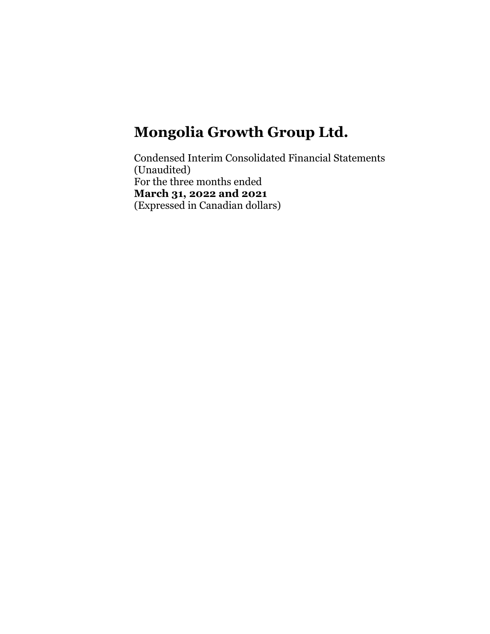Condensed Interim Consolidated Financial Statements (Unaudited) For the three months ended **March 31, 2022 and 2021**  (Expressed in Canadian dollars)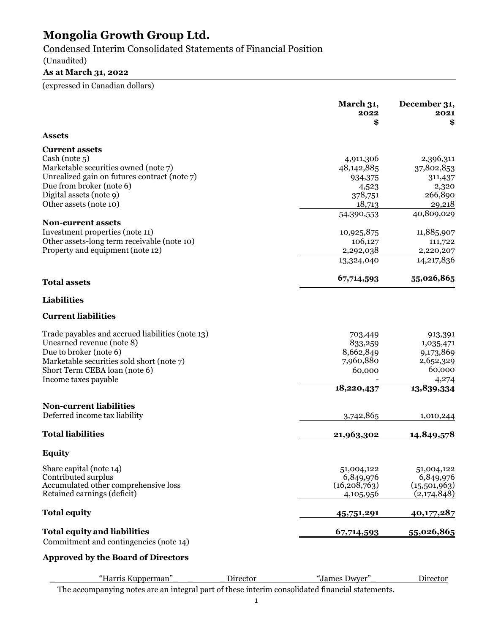Condensed Interim Consolidated Statements of Financial Position

### (Unaudited)

# **As at March 31, 2022**

(expressed in Canadian dollars)

|                                                  | March 31,<br>2022<br>\$ | December 31,<br>2021<br>\$ |
|--------------------------------------------------|-------------------------|----------------------------|
| <b>Assets</b>                                    |                         |                            |
| <b>Current assets</b>                            |                         |                            |
| Cash (note 5)                                    | 4,911,306               | 2,396,311                  |
| Marketable securities owned (note 7)             | 48,142,885              | 37,802,853                 |
| Unrealized gain on futures contract (note 7)     | 934,375                 | 311,437                    |
| Due from broker (note 6)                         | 4,523                   | 2,320                      |
| Digital assets (note 9)                          | 378,751                 | 266,890                    |
| Other assets (note 10)                           | 18,713                  | 29,218                     |
|                                                  | 54,390,553              | 40,809,029                 |
| <b>Non-current assets</b>                        |                         |                            |
| Investment properties (note 11)                  | 10,925,875              | 11,885,907                 |
| Other assets-long term receivable (note 10)      | 106,127                 | 111,722                    |
| Property and equipment (note 12)                 | 2,292,038               | 2,220,207                  |
|                                                  | 13,324,040              | 14,217,836                 |
| <b>Total assets</b>                              | 67,714,593              | 55,026,865                 |
| Liabilities                                      |                         |                            |
| <b>Current liabilities</b>                       |                         |                            |
| Trade payables and accrued liabilities (note 13) | 703,449                 | 913,391                    |
| Unearned revenue (note 8)                        | 833,259                 | 1,035,471                  |
| Due to broker (note 6)                           | 8,662,849               | 9,173,869                  |
| Marketable securities sold short (note 7)        | 7,960,880               | 2,652,329                  |
| Short Term CEBA loan (note 6)                    | 60,000                  | 60,000                     |
| Income taxes payable                             |                         | 4,274                      |
|                                                  | 18,220,437              | 13,839,334                 |
| <b>Non-current liabilities</b>                   |                         |                            |
| Deferred income tax liability                    | 3,742,865               | 1,010,244                  |
| <b>Total liabilities</b>                         | 21,963,302              | 14,849,578                 |
| <b>Equity</b>                                    |                         |                            |
| Share capital (note 14)                          | 51,004,122              | 51,004,122                 |
| Contributed surplus                              | 6,849,976               | 6,849,976                  |
| Accumulated other comprehensive loss             | (16, 208, 763)          | (15,501,963)               |
| Retained earnings (deficit)                      | 4,105,956               | (2,174,848)                |
| <b>Total equity</b>                              | 45,751,291              | 40,177,287                 |
| <b>Total equity and liabilities</b>              | 67,714,593              | 55,026,865                 |
| Commitment and contingencies (note 14)           |                         |                            |
| <b>Approved by the Board of Directors</b>        |                         |                            |
| "Harris Kupperman"<br>Director                   | "James Dwyer"           | Director                   |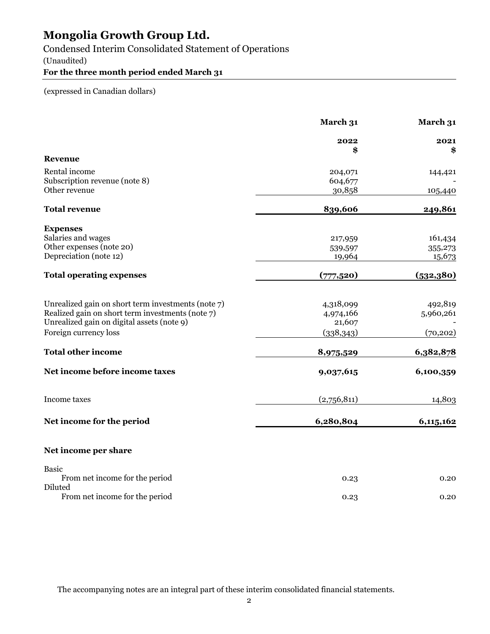Condensed Interim Consolidated Statement of Operations

(Unaudited)

### **For the three month period ended March 31**

(expressed in Canadian dollars)

|                                                    | March 31           | March 31   |
|----------------------------------------------------|--------------------|------------|
|                                                    | 2022               | 2021       |
| <b>Revenue</b>                                     | \$                 | \$         |
| Rental income                                      |                    |            |
| Subscription revenue (note 8)                      | 204,071<br>604,677 | 144,421    |
| Other revenue                                      | 30,858             |            |
|                                                    |                    | 105,440    |
| <b>Total revenue</b>                               | 839,606            | 249,861    |
| <b>Expenses</b>                                    |                    |            |
| Salaries and wages                                 | 217,959            | 161,434    |
| Other expenses (note 20)                           | 539,597            | 355,273    |
| Depreciation (note 12)                             | 19,964             | 15,673     |
| <b>Total operating expenses</b>                    | (777,520)          | (532, 380) |
|                                                    |                    |            |
| Unrealized gain on short term investments (note 7) | 4,318,099          | 492,819    |
| Realized gain on short term investments (note 7)   | 4,974,166          | 5,960,261  |
| Unrealized gain on digital assets (note 9)         | 21,607             |            |
| Foreign currency loss                              | (338,343)          | (70, 202)  |
| <b>Total other income</b>                          | 8,975,529          | 6,382,878  |
| Net income before income taxes                     | 9,037,615          | 6,100,359  |
| <b>Income</b> taxes                                | (2,756,811)        | 14,803     |
| Net income for the period                          | 6,280,804          | 6,115,162  |
| Net income per share                               |                    |            |
| <b>Basic</b>                                       |                    |            |
| From net income for the period                     | 0.23               | 0.20       |
| Diluted                                            |                    |            |
| From net income for the period                     | 0.23               | 0.20       |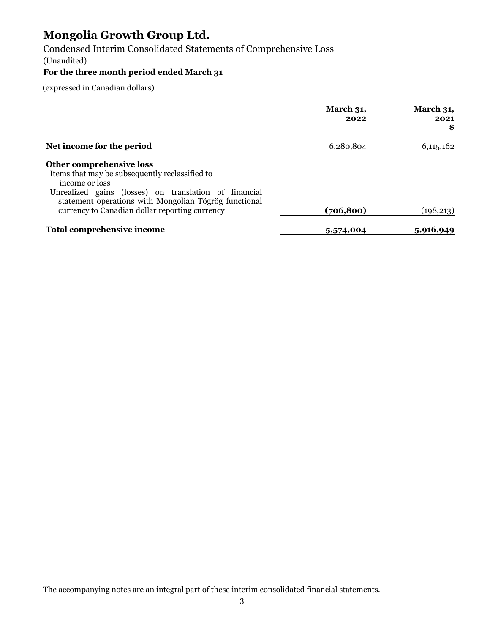Condensed Interim Consolidated Statements of Comprehensive Loss

(Unaudited)

# **For the three month period ended March 31**

(expressed in Canadian dollars)

|                                                                                                                                                                                                                                                                  | March 31,<br>2022 | March 31,<br>2021<br>\$ |
|------------------------------------------------------------------------------------------------------------------------------------------------------------------------------------------------------------------------------------------------------------------|-------------------|-------------------------|
| Net income for the period                                                                                                                                                                                                                                        | 6,280,804         | 6, 115, 162             |
| Other comprehensive loss<br>Items that may be subsequently reclassified to<br>income or loss<br>Unrealized gains (losses) on translation of financial<br>statement operations with Mongolian Tögrög functional<br>currency to Canadian dollar reporting currency | (706, 800)        | (198, 213)              |
| Total comprehensive income                                                                                                                                                                                                                                       | 5,574,004         | 5,916,949               |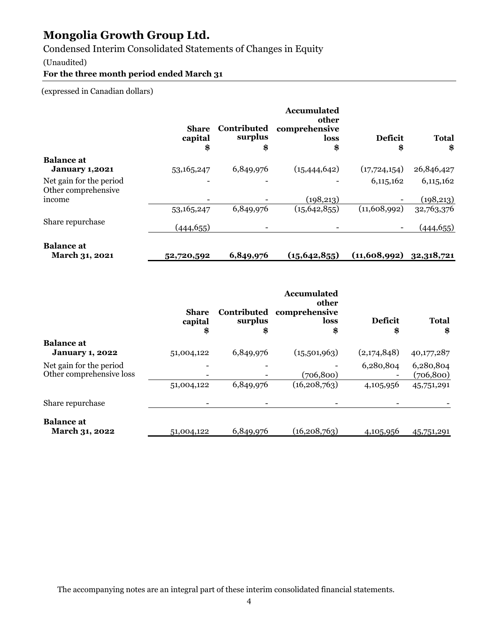Condensed Interim Consolidated Statements of Changes in Equity

#### (Unaudited)

**For the three month period ended March 31** 

(expressed in Canadian dollars)

|                                                | <b>Share</b><br>capital<br>\$ | Contributed<br>surplus<br>\$ | <b>Accumulated</b><br>other<br>comprehensive<br>loss<br>\$ | <b>Deficit</b><br>\$ | <b>Total</b><br>\$ |
|------------------------------------------------|-------------------------------|------------------------------|------------------------------------------------------------|----------------------|--------------------|
| <b>Balance at</b>                              |                               |                              |                                                            |                      |                    |
| <b>January 1,2021</b>                          | 53, 165, 247                  | 6,849,976                    | (15, 444, 642)                                             | (17, 724, 154)       | 26,846,427         |
| Net gain for the period<br>Other comprehensive |                               |                              |                                                            | 6,115,162            | 6,115,162          |
| income                                         |                               |                              | (198, 213)                                                 |                      | (198, 213)         |
|                                                | 53, 165, 247                  | 6,849,976                    | (15, 642, 855)                                             | (11,608,992)         | 32,763,376         |
| Share repurchase                               | (444, 655)                    |                              |                                                            |                      | (444, 655)         |
| <b>Balance</b> at                              |                               |                              |                                                            |                      |                    |

 **March 31, 2021 52,720,592 6,849,976 (15,642,855) (11,608,992) 32,318,721** 

|                                                     | <b>Share</b><br>capital<br>\$ | Contributed<br>surplus<br>\$ | <b>Accumulated</b><br>other<br>comprehensive<br>loss<br>\$ | <b>Deficit</b><br>\$ | <b>Total</b><br>\$      |
|-----------------------------------------------------|-------------------------------|------------------------------|------------------------------------------------------------|----------------------|-------------------------|
| <b>Balance at</b><br><b>January 1, 2022</b>         | 51,004,122                    | 6,849,976                    | (15,501,963)                                               | (2,174,848)          | 40,177,287              |
| Net gain for the period<br>Other comprehensive loss |                               |                              | (706, 800)                                                 | 6,280,804            | 6,280,804<br>(706, 800) |
|                                                     | 51,004,122                    | 6,849,976                    | (16, 208, 763)                                             | 4,105,956            | 45,751,291              |
| Share repurchase                                    |                               |                              |                                                            |                      |                         |
| <b>Balance</b> at<br>March 31, 2022                 | 51,004,122                    | 6,849,976                    | (16, 208, 763)                                             | 4,105,956            | 45,751,291              |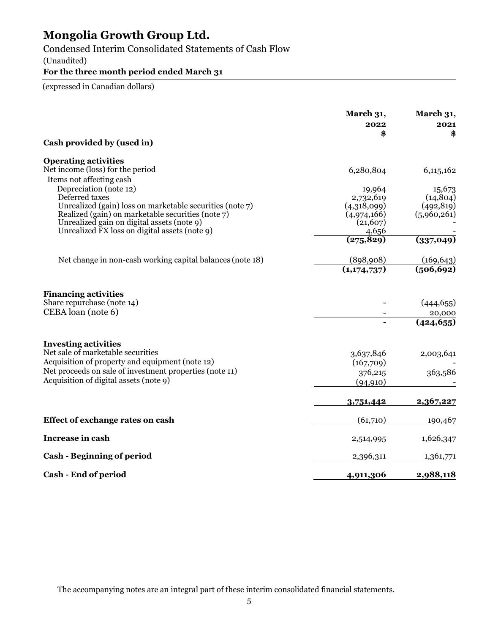Condensed Interim Consolidated Statements of Cash Flow

(Unaudited)

# **For the three month period ended March 31**

(expressed in Canadian dollars)

|                                                                  | March 31,<br>2022<br>\$ | March 31,<br>2021<br>\$ |
|------------------------------------------------------------------|-------------------------|-------------------------|
| Cash provided by (used in)                                       |                         |                         |
| <b>Operating activities</b>                                      |                         |                         |
| Net income (loss) for the period                                 | 6,280,804               | 6,115,162               |
| Items not affecting cash<br>Depreciation (note 12)               |                         | 15,673                  |
| Deferred taxes                                                   | 19,964<br>2,732,619     | (14, 804)               |
| Unrealized (gain) loss on marketable securities (note 7)         | (4,318,099)             | (492, 819)              |
| Realized (gain) on marketable securities (note 7)                | (4,974,166)             | (5,960,261)             |
| Unrealized gain on digital assets (note 9)                       | (21,607)                |                         |
| Unrealized FX loss on digital assets (note 9)                    | 4,656<br>(275, 829)     | (337, 049)              |
|                                                                  |                         |                         |
| Net change in non-cash working capital balances (note 18)        | (898,908)               | (169, 643)              |
|                                                                  | (1,174,737)             | (506, 692)              |
| <b>Financing activities</b>                                      |                         |                         |
| Share repurchase (note 14)                                       |                         | (444, 655)              |
| CEBA loan (note 6)                                               |                         | 20,000                  |
|                                                                  |                         | (424, 655)              |
| <b>Investing activities</b><br>Net sale of marketable securities |                         |                         |
| Acquisition of property and equipment (note 12)                  | 3,637,846<br>(167,709)  | 2,003,641               |
| Net proceeds on sale of investment properties (note 11)          | 376,215                 | 363,586                 |
| Acquisition of digital assets (note 9)                           | (94, 910)               |                         |
|                                                                  |                         |                         |
|                                                                  | 3,751,442               | 2,367,227               |
| <b>Effect of exchange rates on cash</b>                          | (61,710)                | 190,467                 |
| <b>Increase in cash</b>                                          | 2,514,995               | 1,626,347               |
| <b>Cash - Beginning of period</b>                                | 2,396,311               | 1,361,771               |
| Cash - End of period                                             | 4,911,306               | 2,988,118               |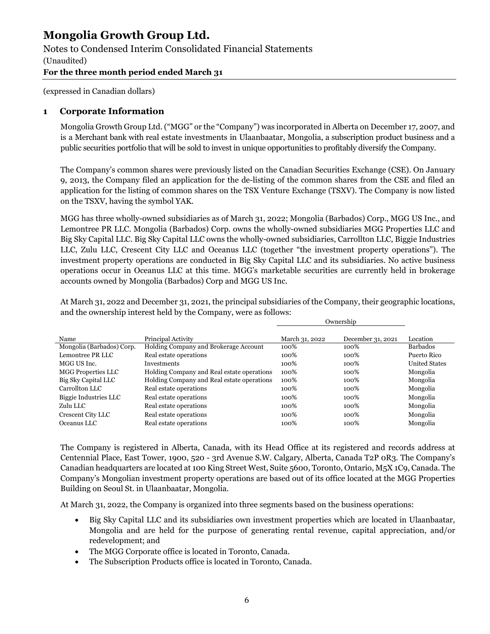Notes to Condensed Interim Consolidated Financial Statements

(Unaudited)

### **For the three month period ended March 31**

(expressed in Canadian dollars)

### **1 Corporate Information**

Mongolia Growth Group Ltd. ("MGG" or the "Company") was incorporated in Alberta on December 17, 2007, and is a Merchant bank with real estate investments in Ulaanbaatar, Mongolia, a subscription product business and a public securities portfolio that will be sold to invest in unique opportunities to profitably diversify the Company.

The Company's common shares were previously listed on the Canadian Securities Exchange (CSE). On January 9, 2013, the Company filed an application for the de-listing of the common shares from the CSE and filed an application for the listing of common shares on the TSX Venture Exchange (TSXV). The Company is now listed on the TSXV, having the symbol YAK.

MGG has three wholly-owned subsidiaries as of March 31, 2022; Mongolia (Barbados) Corp., MGG US Inc., and Lemontree PR LLC. Mongolia (Barbados) Corp. owns the wholly-owned subsidiaries MGG Properties LLC and Big Sky Capital LLC. Big Sky Capital LLC owns the wholly-owned subsidiaries, Carrollton LLC, Biggie Industries LLC, Zulu LLC, Crescent City LLC and Oceanus LLC (together "the investment property operations"). The investment property operations are conducted in Big Sky Capital LLC and its subsidiaries. No active business operations occur in Oceanus LLC at this time. MGG's marketable securities are currently held in brokerage accounts owned by Mongolia (Barbados) Corp and MGG US Inc.

At March 31, 2022 and December 31, 2021, the principal subsidiaries of the Company, their geographic locations, and the ownership interest held by the Company, were as follows:

|                           | Ownership                                  |                |                   |                      |
|---------------------------|--------------------------------------------|----------------|-------------------|----------------------|
| Name                      | Principal Activity                         | March 31, 2022 | December 31, 2021 | Location             |
| Mongolia (Barbados) Corp. | Holding Company and Brokerage Account      | 100%           | 100%              | <b>Barbados</b>      |
| Lemontree PR LLC          | Real estate operations                     | 100%           | 100%              | Puerto Rico          |
| MGG US Inc.               | <b>Investments</b>                         | 100%           | 100%              | <b>United States</b> |
| <b>MGG Properties LLC</b> | Holding Company and Real estate operations | 100%           | 100%              | Mongolia             |
| Big Sky Capital LLC       | Holding Company and Real estate operations | 100%           | 100%              | Mongolia             |
| Carrollton LLC            | Real estate operations                     | 100%           | 100%              | Mongolia             |
| Biggie Industries LLC     | Real estate operations                     | 100%           | 100%              | Mongolia             |
| Zulu LLC                  | Real estate operations                     | 100%           | 100%              | Mongolia             |
| Crescent City LLC         | Real estate operations                     | 100%           | 100%              | Mongolia             |
| Oceanus LLC               | Real estate operations                     | 100%           | 100%              | Mongolia             |

The Company is registered in Alberta, Canada, with its Head Office at its registered and records address at Centennial Place, East Tower, 1900, 520 - 3rd Avenue S.W. Calgary, Alberta, Canada T2P 0R3. The Company's Canadian headquarters are located at 100 King Street West, Suite 5600, Toronto, Ontario, M5X 1C9, Canada. The Company's Mongolian investment property operations are based out of its office located at the MGG Properties Building on Seoul St. in Ulaanbaatar, Mongolia.

At March 31, 2022, the Company is organized into three segments based on the business operations:

- Big Sky Capital LLC and its subsidiaries own investment properties which are located in Ulaanbaatar, Mongolia and are held for the purpose of generating rental revenue, capital appreciation, and/or redevelopment; and
- The MGG Corporate office is located in Toronto, Canada.
- The Subscription Products office is located in Toronto, Canada.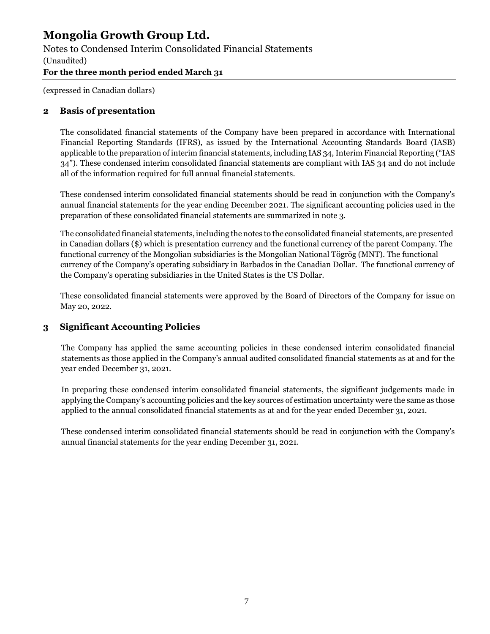Notes to Condensed Interim Consolidated Financial Statements

(Unaudited)

**For the three month period ended March 31** 

(expressed in Canadian dollars)

### **2 Basis of presentation**

The consolidated financial statements of the Company have been prepared in accordance with International Financial Reporting Standards (IFRS), as issued by the International Accounting Standards Board (IASB) applicable to the preparation of interim financial statements, including IAS 34, Interim Financial Reporting ("IAS 34"). These condensed interim consolidated financial statements are compliant with IAS 34 and do not include all of the information required for full annual financial statements.

These condensed interim consolidated financial statements should be read in conjunction with the Company's annual financial statements for the year ending December 2021. The significant accounting policies used in the preparation of these consolidated financial statements are summarized in note 3.

The consolidated financial statements, including the notes to the consolidated financial statements, are presented in Canadian dollars (\$) which is presentation currency and the functional currency of the parent Company. The functional currency of the Mongolian subsidiaries is the Mongolian National Tögrög (MNT). The functional currency of the Company's operating subsidiary in Barbados in the Canadian Dollar. The functional currency of the Company's operating subsidiaries in the United States is the US Dollar.

These consolidated financial statements were approved by the Board of Directors of the Company for issue on May 20, 2022.

# **3 Significant Accounting Policies**

The Company has applied the same accounting policies in these condensed interim consolidated financial statements as those applied in the Company's annual audited consolidated financial statements as at and for the year ended December 31, 2021.

In preparing these condensed interim consolidated financial statements, the significant judgements made in applying the Company's accounting policies and the key sources of estimation uncertainty were the same as those applied to the annual consolidated financial statements as at and for the year ended December 31, 2021.

These condensed interim consolidated financial statements should be read in conjunction with the Company's annual financial statements for the year ending December 31, 2021.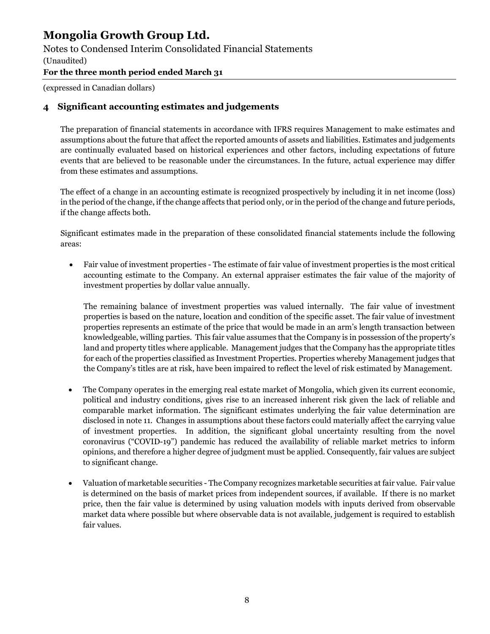Notes to Condensed Interim Consolidated Financial Statements

(Unaudited)

**For the three month period ended March 31** 

(expressed in Canadian dollars)

### **4 Significant accounting estimates and judgements**

The preparation of financial statements in accordance with IFRS requires Management to make estimates and assumptions about the future that affect the reported amounts of assets and liabilities. Estimates and judgements are continually evaluated based on historical experiences and other factors, including expectations of future events that are believed to be reasonable under the circumstances. In the future, actual experience may differ from these estimates and assumptions.

The effect of a change in an accounting estimate is recognized prospectively by including it in net income (loss) in the period of the change, if the change affects that period only, or in the period of the change and future periods, if the change affects both.

Significant estimates made in the preparation of these consolidated financial statements include the following areas:

 Fair value of investment properties - The estimate of fair value of investment properties is the most critical accounting estimate to the Company. An external appraiser estimates the fair value of the majority of investment properties by dollar value annually.

The remaining balance of investment properties was valued internally. The fair value of investment properties is based on the nature, location and condition of the specific asset. The fair value of investment properties represents an estimate of the price that would be made in an arm's length transaction between knowledgeable, willing parties. This fair value assumes that the Company is in possession of the property's land and property titles where applicable. Management judges that the Company has the appropriate titles for each of the properties classified as Investment Properties. Properties whereby Management judges that the Company's titles are at risk, have been impaired to reflect the level of risk estimated by Management.

- The Company operates in the emerging real estate market of Mongolia, which given its current economic, political and industry conditions, gives rise to an increased inherent risk given the lack of reliable and comparable market information. The significant estimates underlying the fair value determination are disclosed in note 11. Changes in assumptions about these factors could materially affect the carrying value of investment properties. In addition, the significant global uncertainty resulting from the novel coronavirus ("COVID-19") pandemic has reduced the availability of reliable market metrics to inform opinions, and therefore a higher degree of judgment must be applied. Consequently, fair values are subject to significant change.
- Valuation of marketable securities The Company recognizes marketable securities at fair value. Fair value is determined on the basis of market prices from independent sources, if available. If there is no market price, then the fair value is determined by using valuation models with inputs derived from observable market data where possible but where observable data is not available, judgement is required to establish fair values.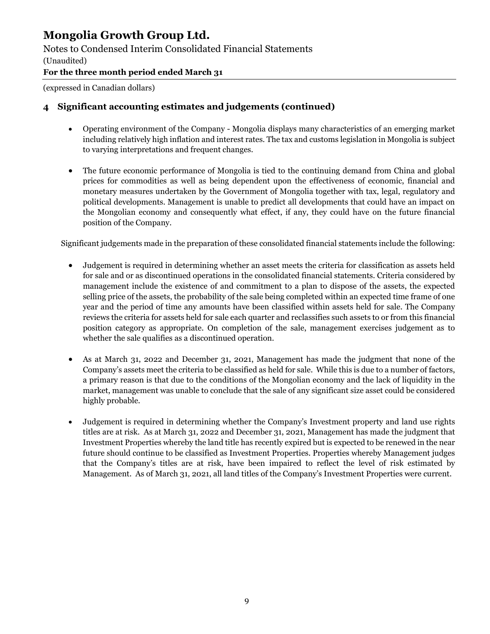Notes to Condensed Interim Consolidated Financial Statements

(Unaudited)

**For the three month period ended March 31** 

(expressed in Canadian dollars)

# **4 Significant accounting estimates and judgements (continued)**

- Operating environment of the Company Mongolia displays many characteristics of an emerging market including relatively high inflation and interest rates. The tax and customs legislation in Mongolia is subject to varying interpretations and frequent changes.
- The future economic performance of Mongolia is tied to the continuing demand from China and global prices for commodities as well as being dependent upon the effectiveness of economic, financial and monetary measures undertaken by the Government of Mongolia together with tax, legal, regulatory and political developments. Management is unable to predict all developments that could have an impact on the Mongolian economy and consequently what effect, if any, they could have on the future financial position of the Company.

Significant judgements made in the preparation of these consolidated financial statements include the following:

- Judgement is required in determining whether an asset meets the criteria for classification as assets held for sale and or as discontinued operations in the consolidated financial statements. Criteria considered by management include the existence of and commitment to a plan to dispose of the assets, the expected selling price of the assets, the probability of the sale being completed within an expected time frame of one year and the period of time any amounts have been classified within assets held for sale. The Company reviews the criteria for assets held for sale each quarter and reclassifies such assets to or from this financial position category as appropriate. On completion of the sale, management exercises judgement as to whether the sale qualifies as a discontinued operation.
- As at March 31, 2022 and December 31, 2021, Management has made the judgment that none of the Company's assets meet the criteria to be classified as held for sale. While this is due to a number of factors, a primary reason is that due to the conditions of the Mongolian economy and the lack of liquidity in the market, management was unable to conclude that the sale of any significant size asset could be considered highly probable.
- Judgement is required in determining whether the Company's Investment property and land use rights titles are at risk. As at March 31, 2022 and December 31, 2021, Management has made the judgment that Investment Properties whereby the land title has recently expired but is expected to be renewed in the near future should continue to be classified as Investment Properties. Properties whereby Management judges that the Company's titles are at risk, have been impaired to reflect the level of risk estimated by Management. As of March 31, 2021, all land titles of the Company's Investment Properties were current.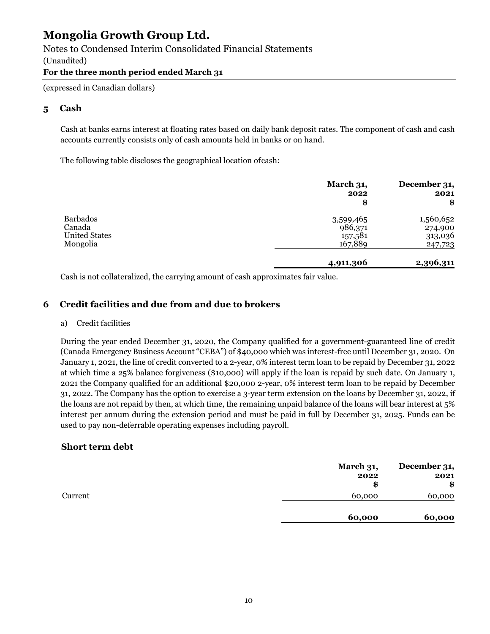### Notes to Condensed Interim Consolidated Financial Statements

(Unaudited)

#### **For the three month period ended March 31**

(expressed in Canadian dollars)

### **5 Cash**

Cash at banks earns interest at floating rates based on daily bank deposit rates. The component of cash and cash accounts currently consists only of cash amounts held in banks or on hand.

The following table discloses the geographical location of cash:

|                                                               | March 31,<br>2022<br>\$                    | December 31,<br>2021<br>\$                 |
|---------------------------------------------------------------|--------------------------------------------|--------------------------------------------|
| <b>Barbados</b><br>Canada<br><b>United States</b><br>Mongolia | 3,599,465<br>986,371<br>157,581<br>167,889 | 1,560,652<br>274,900<br>313,036<br>247,723 |
|                                                               | 4,911,306                                  | 2,396,311                                  |

Cash is not collateralized, the carrying amount of cash approximates fair value.

### **6 Credit facilities and due from and due to brokers**

#### a) Credit facilities

During the year ended December 31, 2020, the Company qualified for a government-guaranteed line of credit (Canada Emergency Business Account "CEBA") of \$40,000 which was interest-free until December 31, 2020. On January 1, 2021, the line of credit converted to a 2-year, 0% interest term loan to be repaid by December 31, 2022 at which time a 25% balance forgiveness (\$10,000) will apply if the loan is repaid by such date. On January 1, 2021 the Company qualified for an additional \$20,000 2-year, 0% interest term loan to be repaid by December 31, 2022. The Company has the option to exercise a 3-year term extension on the loans by December 31, 2022, if the loans are not repaid by then, at which time, the remaining unpaid balance of the loans will bear interest at 5% interest per annum during the extension period and must be paid in full by December 31, 2025. Funds can be used to pay non-deferrable operating expenses including payroll.

### **Short term debt**

|         | March 31,<br>2022<br>\$ | December 31,<br>2021<br>\$ |
|---------|-------------------------|----------------------------|
| Current | 60,000                  | 60,000                     |
|         | 60,000                  | 60,000                     |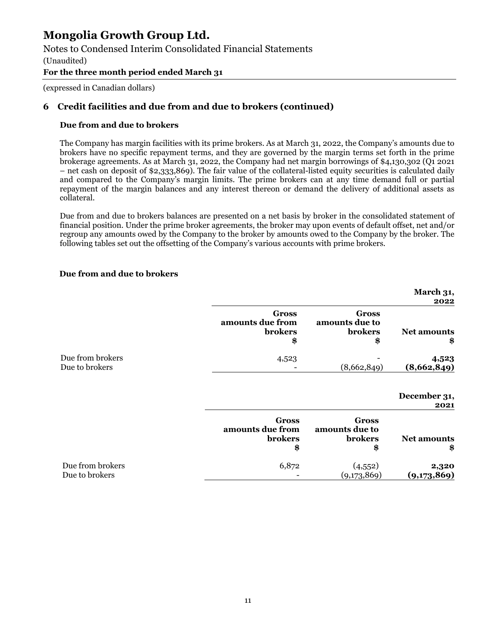Notes to Condensed Interim Consolidated Financial Statements

(Unaudited)

### **For the three month period ended March 31**

(expressed in Canadian dollars)

### **6 Credit facilities and due from and due to brokers (continued)**

#### **Due from and due to brokers**

 The Company has margin facilities with its prime brokers. As at March 31, 2022, the Company's amounts due to brokers have no specific repayment terms, and they are governed by the margin terms set forth in the prime brokerage agreements. As at March 31, 2022, the Company had net margin borrowings of \$4,130,302 (Q1 2021 – net cash on deposit of \$2,333,869). The fair value of the collateral-listed equity securities is calculated daily and compared to the Company's margin limits. The prime brokers can at any time demand full or partial repayment of the margin balances and any interest thereon or demand the delivery of additional assets as collateral.

 Due from and due to brokers balances are presented on a net basis by broker in the consolidated statement of financial position. Under the prime broker agreements, the broker may upon events of default offset, net and/or regroup any amounts owed by the Company to the broker by amounts owed to the Company by the broker. The following tables set out the offsetting of the Company's various accounts with prime brokers.

#### **Due from and due to brokers**

| March 31,<br>2022        |                                                        |                                                          |                                    |
|--------------------------|--------------------------------------------------------|----------------------------------------------------------|------------------------------------|
| <b>Net amounts</b><br>\$ | <b>Gross</b><br>amounts due to<br><b>brokers</b><br>\$ | <b>Gross</b><br>amounts due from<br><b>brokers</b><br>\$ |                                    |
| 4,523<br>(8,662,849)     | (8,662,849)                                            | 4,523                                                    | Due from brokers<br>Due to brokers |

| <b>December 31,</b> |      |
|---------------------|------|
|                     | 2021 |

|                  | Gross<br>amounts due from<br><b>brokers</b><br>\$ | Gross<br>amounts due to<br><b>brokers</b><br>\$ | <b>Net amounts</b><br>\$ |
|------------------|---------------------------------------------------|-------------------------------------------------|--------------------------|
| Due from brokers | 6,872                                             | (4,552)                                         | 2,320                    |
| Due to brokers   |                                                   | (9,173,869)                                     | (9,173,869)              |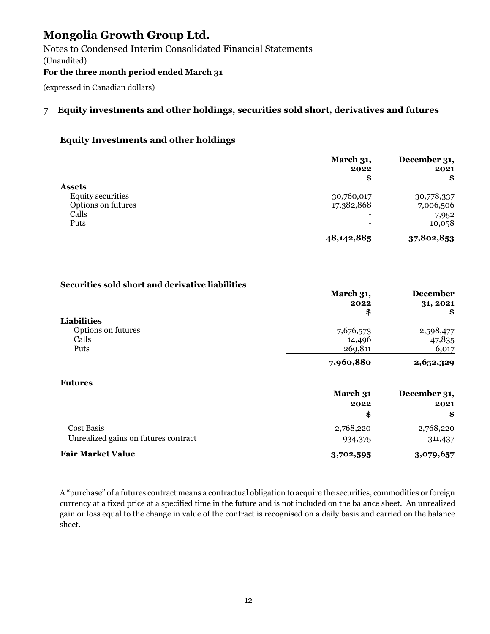Notes to Condensed Interim Consolidated Financial Statements (Unaudited)

**For the three month period ended March 31** 

(expressed in Canadian dollars)

# **7 Equity investments and other holdings, securities sold short, derivatives and futures**

# **Equity Investments and other holdings**

|                          | March 31,<br>2022<br>\$  | December 31,<br>2021<br>\$ |
|--------------------------|--------------------------|----------------------------|
| <b>Assets</b>            |                          |                            |
| <b>Equity securities</b> | 30,760,017               | 30,778,337                 |
| Options on futures       | 17,382,868               | 7,006,506                  |
| Calls                    | $\overline{\phantom{0}}$ | 7,952                      |
| Puts                     | $\overline{\phantom{a}}$ | 10,058                     |
|                          | 48,142,885               | 37,802,853                 |

#### **Securities sold short and derivative liabilities**

|                                      | March 31,<br>2022<br>\$ | <b>December</b><br>31, 2021<br>\$ |
|--------------------------------------|-------------------------|-----------------------------------|
| <b>Liabilities</b>                   |                         |                                   |
| Options on futures                   | 7,676,573               | 2,598,477                         |
| Calls                                | 14,496                  | 47,835                            |
| Puts                                 | 269,811                 | 6,017                             |
|                                      | 7,960,880               | 2,652,329                         |
| <b>Futures</b>                       |                         |                                   |
|                                      | March 31                | December 31,                      |
|                                      | 2022                    | 2021                              |
|                                      | \$                      | \$                                |
| Cost Basis                           | 2,768,220               | 2,768,220                         |
| Unrealized gains on futures contract | 934,375                 | 311,437                           |
| <b>Fair Market Value</b>             | 3,702,595               | 3,079,657                         |

A "purchase" of a futures contract means a contractual obligation to acquire the securities, commodities or foreign currency at a fixed price at a specified time in the future and is not included on the balance sheet. An unrealized gain or loss equal to the change in value of the contract is recognised on a daily basis and carried on the balance sheet.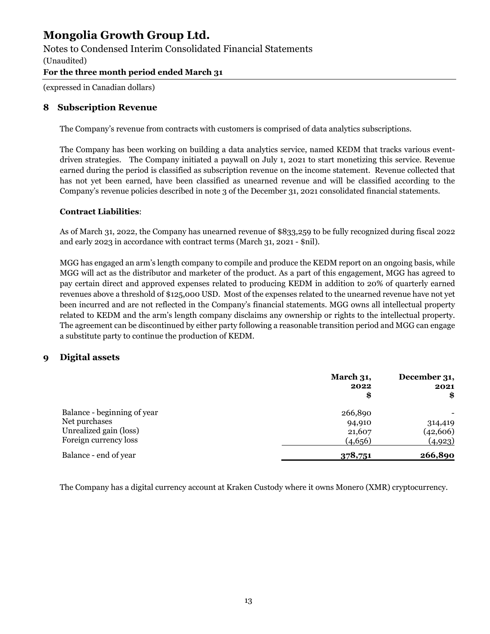Notes to Condensed Interim Consolidated Financial Statements

(Unaudited)

### **For the three month period ended March 31**

(expressed in Canadian dollars)

### **8 Subscription Revenue**

The Company's revenue from contracts with customers is comprised of data analytics subscriptions.

The Company has been working on building a data analytics service, named KEDM that tracks various eventdriven strategies. The Company initiated a paywall on July 1, 2021 to start monetizing this service. Revenue earned during the period is classified as subscription revenue on the income statement. Revenue collected that has not yet been earned, have been classified as unearned revenue and will be classified according to the Company's revenue policies described in note 3 of the December 31, 2021 consolidated financial statements.

### **Contract Liabilities**:

As of March 31, 2022, the Company has unearned revenue of \$833,259 to be fully recognized during fiscal 2022 and early 2023 in accordance with contract terms (March 31, 2021 - \$nil).

MGG has engaged an arm's length company to compile and produce the KEDM report on an ongoing basis, while MGG will act as the distributor and marketer of the product. As a part of this engagement, MGG has agreed to pay certain direct and approved expenses related to producing KEDM in addition to 20% of quarterly earned revenues above a threshold of \$125,000 USD. Most of the expenses related to the unearned revenue have not yet been incurred and are not reflected in the Company's financial statements. MGG owns all intellectual property related to KEDM and the arm's length company disclaims any ownership or rights to the intellectual property. The agreement can be discontinued by either party following a reasonable transition period and MGG can engage a substitute party to continue the production of KEDM.

### **9 Digital assets**

|                             | March 31,<br>2022<br>\$ | December 31,<br>2021<br>\$ |
|-----------------------------|-------------------------|----------------------------|
| Balance - beginning of year | 266,890                 |                            |
| Net purchases               | 94,910                  | 314,419                    |
| Unrealized gain (loss)      | 21,607                  | (42, 606)                  |
| Foreign currency loss       | (4,656)                 | (4,923)                    |
| Balance - end of year       | 378,751                 | 266,890                    |

The Company has a digital currency account at Kraken Custody where it owns Monero (XMR) cryptocurrency.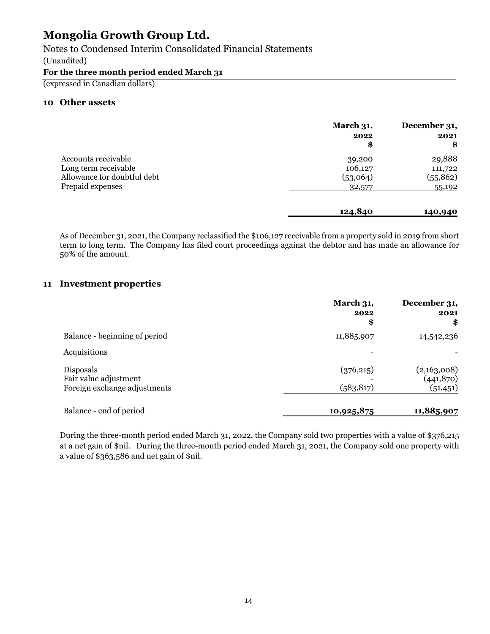Notes to Condensed Interim Consolidated Financial Statements

(Unaudited)

#### **For the three month period ended March 31**

(expressed in Canadian dollars)

### **10 Other assets**

|                                                                                                | March 31,<br>2022<br>\$       | December 31,<br>2021<br>\$     |
|------------------------------------------------------------------------------------------------|-------------------------------|--------------------------------|
| Accounts receivable<br>Long term receivable<br>Allowance for doubtful debt<br>Prepaid expenses | 39,200<br>106,127<br>(53,064) | 29,888<br>111,722<br>(55, 862) |
|                                                                                                | 32,577<br>124,840             | 55,192<br>140,940              |

As of December 31, 2021, the Company reclassified the \$106,127 receivable from a property sold in 2019 from short term to long term. The Company has filed court proceedings against the debtor and has made an allowance for 50% of the amount.

### **11 Investment properties**

|                                                                    | March 31,<br>2022<br>\$  | December 31,<br>2021<br>\$            |
|--------------------------------------------------------------------|--------------------------|---------------------------------------|
| Balance - beginning of period                                      | 11,885,907               | 14,542,236                            |
| Acquisitions                                                       |                          |                                       |
| Disposals<br>Fair value adjustment<br>Foreign exchange adjustments | (376, 215)<br>(583, 817) | (2,163,008)<br>(441,870)<br>(51, 451) |
| Balance - end of period                                            | 10,925,875               | 11,885,907                            |

During the three-month period ended March 31, 2022, the Company sold two properties with a value of \$376,215 at a net gain of \$nil. During the three-month period ended March 31, 2021, the Company sold one property with a value of \$363,586 and net gain of \$nil.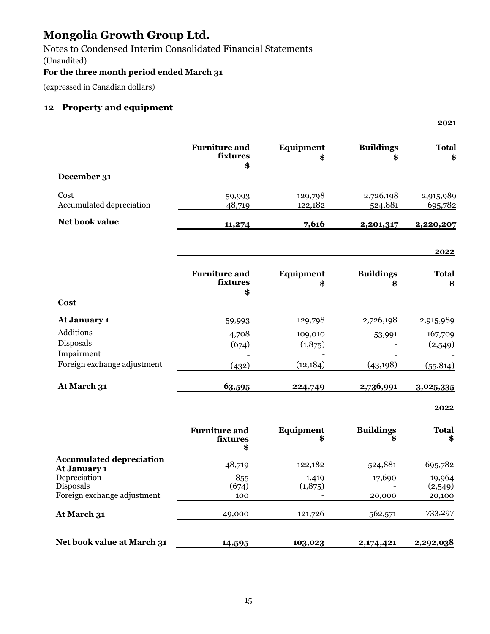Notes to Condensed Interim Consolidated Financial Statements

(Unaudited)

### **For the three month period ended March 31**

(expressed in Canadian dollars)

# **12 Property and equipment**

|                                           |                                        |                        |                        | 2021                 |
|-------------------------------------------|----------------------------------------|------------------------|------------------------|----------------------|
|                                           | <b>Furniture and</b><br>fixtures<br>\$ | Equipment<br>\$        | <b>Buildings</b><br>\$ | <b>Total</b><br>\$   |
| December 31                               |                                        |                        |                        |                      |
| Cost<br>Accumulated depreciation          | 59,993<br>48,719                       | 129,798<br>122,182     | 2,726,198<br>524,881   | 2,915,989<br>695,782 |
| Net book value                            | 11,274                                 | 7,616                  | 2,201,317              | 2,220,207            |
|                                           |                                        |                        |                        | 2022                 |
|                                           | <b>Furniture and</b><br>fixtures<br>\$ | <b>Equipment</b><br>\$ | <b>Buildings</b><br>\$ | <b>Total</b><br>\$   |
| Cost                                      |                                        |                        |                        |                      |
| At January 1                              | 59,993                                 | 129,798                | 2,726,198              | 2,915,989            |
| Additions<br>Disposals<br>Impairment      | 4,708<br>(674)                         | 109,010<br>(1,875)     | 53,991                 | 167,709<br>(2,549)   |
| Foreign exchange adjustment               | (432)                                  | (12, 184)              | (43, 198)              | (55, 814)            |
| At March 31                               | 63,595                                 | 224,749                | 2,736,991              | 3,025,335            |
|                                           |                                        |                        |                        | 2022                 |
|                                           | <b>Furniture and</b><br>fixtures<br>\$ | Equipment<br>\$        | <b>Buildings</b>       | <b>Total</b><br>\$   |
| <b>Accumulated depreciation</b>           | 48,719                                 | 122,182                | 524,881                | 695,782              |
| At January 1<br>Depreciation<br>Disposals | 855<br>(674)                           | 1,419<br>(1,875)       | 17,690                 | 19,964<br>(2,549)    |
| Foreign exchange adjustment               | 100                                    |                        | 20,000                 | 20,100               |
| At March 31                               | 49,000                                 | 121,726                | 562,571                | 733,297              |
| Net book value at March 31                | 14,595                                 | 103,023                | 2,174,421              | 2,292,038            |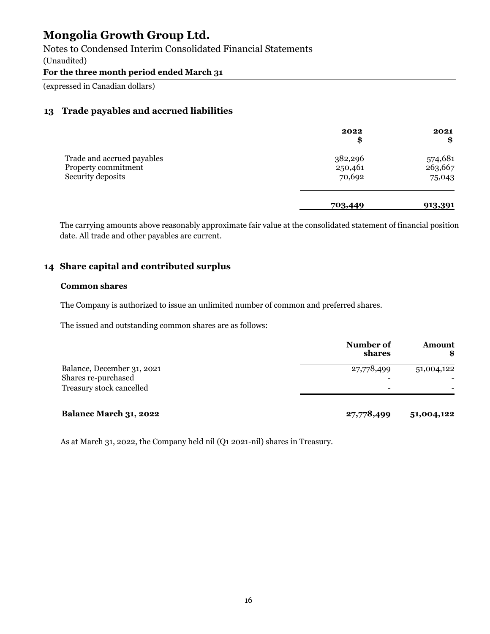Notes to Condensed Interim Consolidated Financial Statements

(Unaudited)

### **For the three month period ended March 31**

(expressed in Canadian dollars)

### **13 Trade payables and accrued liabilities**

|                                                                        | 2022<br>\$                   | 2021<br>\$                   |
|------------------------------------------------------------------------|------------------------------|------------------------------|
| Trade and accrued payables<br>Property commitment<br>Security deposits | 382,296<br>250,461<br>70,692 | 574,681<br>263,667<br>75,043 |
|                                                                        | 703,449                      | 913,391                      |

The carrying amounts above reasonably approximate fair value at the consolidated statement of financial position date. All trade and other payables are current.

### **14 Share capital and contributed surplus**

#### **Common shares**

The Company is authorized to issue an unlimited number of common and preferred shares.

The issued and outstanding common shares are as follows:

|                               | Number of<br>shares | <b>Amount</b><br>\$ |
|-------------------------------|---------------------|---------------------|
| Balance, December 31, 2021    | 27,778,499          | 51,004,122          |
| Shares re-purchased           |                     |                     |
| Treasury stock cancelled      |                     |                     |
| <b>Balance March 31, 2022</b> | 27,778,499          | 51,004,122          |

As at March 31, 2022, the Company held nil (Q1 2021-nil) shares in Treasury.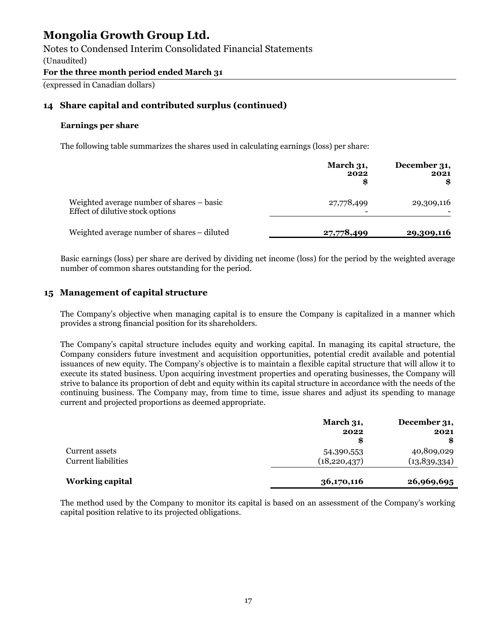Notes to Condensed Interim Consolidated Financial Statements

(Unaudited)

### **For the three month period ended March 31**

(expressed in Canadian dollars)

### **14 Share capital and contributed surplus (continued)**

### **Earnings per share**

The following table summarizes the shares used in calculating earnings (loss) per share:

|                                                                               | <b>March 31,</b><br>2022 | December 31,<br>2021 |
|-------------------------------------------------------------------------------|--------------------------|----------------------|
| Weighted average number of shares – basic<br>Effect of dilutive stock options | 27,778,499               | 29,309,116           |
| Weighted average number of shares – diluted                                   | 27,778,499               | 29,309,116           |

Basic earnings (loss) per share are derived by dividing net income (loss) for the period by the weighted average number of common shares outstanding for the period.

### **15 Management of capital structure**

The Company's objective when managing capital is to ensure the Company is capitalized in a manner which provides a strong financial position for its shareholders.

The Company's capital structure includes equity and working capital. In managing its capital structure, the Company considers future investment and acquisition opportunities, potential credit available and potential issuances of new equity. The Company's objective is to maintain a flexible capital structure that will allow it to execute its stated business. Upon acquiring investment properties and operating businesses, the Company will strive to balance its proportion of debt and equity within its capital structure in accordance with the needs of the continuing business. The Company may, from time to time, issue shares and adjust its spending to manage current and projected proportions as deemed appropriate.

|                            | March 31,      | December 31, |
|----------------------------|----------------|--------------|
|                            | 2022           | 2021         |
|                            | \$             |              |
| Current assets             | 54,390,553     | 40,809,029   |
| <b>Current liabilities</b> | (18, 220, 437) | (13,839,334) |
| <b>Working capital</b>     | 36,170,116     | 26,969,695   |

The method used by the Company to monitor its capital is based on an assessment of the Company's working capital position relative to its projected obligations.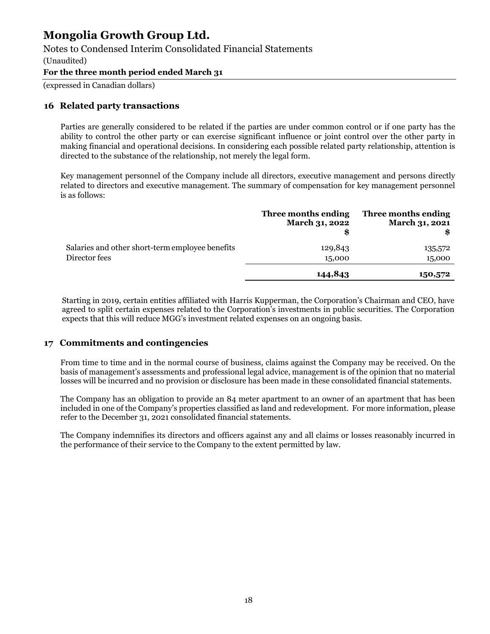### Notes to Condensed Interim Consolidated Financial Statements

(Unaudited)

#### **For the three month period ended March 31**

(expressed in Canadian dollars)

#### **16 Related party transactions**

Parties are generally considered to be related if the parties are under common control or if one party has the ability to control the other party or can exercise significant influence or joint control over the other party in making financial and operational decisions. In considering each possible related party relationship, attention is directed to the substance of the relationship, not merely the legal form.

Key management personnel of the Company include all directors, executive management and persons directly related to directors and executive management. The summary of compensation for key management personnel is as follows:

|                                                 | Three months ending<br>March 31, 2022 | Three months ending<br>March 31, 2021 |
|-------------------------------------------------|---------------------------------------|---------------------------------------|
| Salaries and other short-term employee benefits | 129,843                               | 135,572                               |
| Director fees                                   | 15,000                                | 15,000                                |
|                                                 | 144,843                               | 150,572                               |

Starting in 2019, certain entities affiliated with Harris Kupperman, the Corporation's Chairman and CEO, have agreed to split certain expenses related to the Corporation's investments in public securities. The Corporation expects that this will reduce MGG's investment related expenses on an ongoing basis.

#### **17 Commitments and contingencies**

From time to time and in the normal course of business, claims against the Company may be received. On the basis of management's assessments and professional legal advice, management is of the opinion that no material losses will be incurred and no provision or disclosure has been made in these consolidated financial statements.

The Company has an obligation to provide an 84 meter apartment to an owner of an apartment that has been included in one of the Company's properties classified as land and redevelopment. For more information, please refer to the December 31, 2021 consolidated financial statements.

The Company indemnifies its directors and officers against any and all claims or losses reasonably incurred in the performance of their service to the Company to the extent permitted by law.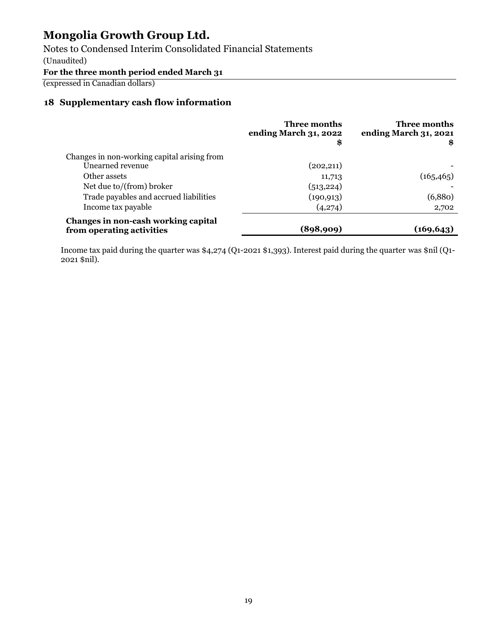Notes to Condensed Interim Consolidated Financial Statements

(Unaudited)

**For the three month period ended March 31** 

(expressed in Canadian dollars)

# **18 Supplementary cash flow information**

|                                                                  | Three months<br>ending March 31, 2022<br>\$ | Three months<br>ending March 31, 2021<br>\$ |
|------------------------------------------------------------------|---------------------------------------------|---------------------------------------------|
| Changes in non-working capital arising from                      |                                             |                                             |
| Unearned revenue                                                 | (202, 211)                                  |                                             |
| Other assets                                                     | 11,713                                      | (165, 465)                                  |
| Net due to/(from) broker                                         | (513, 224)                                  |                                             |
| Trade payables and accrued liabilities                           | (190, 913)                                  | (6,880)                                     |
| Income tax payable                                               | (4,274)                                     | 2,702                                       |
| Changes in non-cash working capital<br>from operating activities | (898,909)                                   | (169, 643)                                  |

Income tax paid during the quarter was \$4,274 (Q1-2021 \$1,393). Interest paid during the quarter was \$nil (Q1- 2021 \$nil).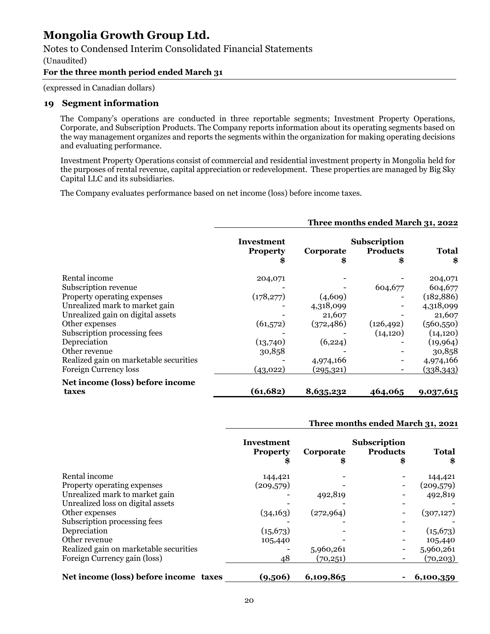### Notes to Condensed Interim Consolidated Financial Statements

(Unaudited)

#### **For the three month period ended March 31**

(expressed in Canadian dollars)

#### **19 Segment information**

The Company's operations are conducted in three reportable segments; Investment Property Operations, Corporate, and Subscription Products. The Company reports information about its operating segments based on the way management organizes and reports the segments within the organization for making operating decisions and evaluating performance.

Investment Property Operations consist of commercial and residential investment property in Mongolia held for the purposes of rental revenue, capital appreciation or redevelopment. These properties are managed by Big Sky Capital LLC and its subsidiaries.

The Company evaluates performance based on net income (loss) before income taxes.

#### **Three months ended March 31, 2022 Investment Property Corporate Subscription Products Total \$ \$ \$ \$** Rental income 204,071 - 204,071 - 204,071 Subscription revenue  $604.677$  604,677 604,677 Property operating expenses (178,277) (4,609) - (182,886) Unrealized mark to market gain and the set of the contract of the 4,318,099 of the 4,318,099 Unrealized gain on digital assets  $21,607$  - 21,607 - 21,607 Other expenses (61,572) (372,486) (126,492) (560,550) Subscription processing fees - (14,120) (14,120) (14,120) Depreciation (13,740) (6,224) - (19,964) Other revenue 30,858 30,858 - 30,858 30,858 30,858 30,858 30,858 30,858 30,858 30,858 30,858 30,858 30,858 30, Realized gain on marketable securities  $\begin{array}{cccc} -4.974.166 & -4.974.166 \end{array}$ Foreign Currency loss (43,022) (295,321) - (338,343) **Net income (loss) before income taxes (61,682) 8,635,232 464,065 9,037,615**

#### **Three months ended March 31, 2021**

|                                        | Investment<br><b>Property</b> | Corporate<br>\$ | <b>Subscription</b><br><b>Products</b><br>\$ | <b>Total</b><br>\$ |
|----------------------------------------|-------------------------------|-----------------|----------------------------------------------|--------------------|
| Rental income                          | 144,421                       |                 |                                              | 144,421            |
| Property operating expenses            | (209, 579)                    |                 |                                              | (209, 579)         |
| Unrealized mark to market gain         |                               | 492,819         |                                              | 492,819            |
| Unrealized loss on digital assets      |                               |                 |                                              |                    |
| Other expenses                         | (34, 163)                     | (272, 964)      |                                              | (307, 127)         |
| Subscription processing fees           |                               |                 |                                              |                    |
| Depreciation                           | (15, 673)                     |                 |                                              | (15, 673)          |
| Other revenue                          | 105,440                       |                 |                                              | 105,440            |
| Realized gain on marketable securities |                               | 5,960,261       |                                              | 5,960,261          |
| Foreign Currency gain (loss)           | 48                            | (70, 251)       |                                              | (70, 203)          |
| Net income (loss) before income taxes  | (9,506)                       | 6,109,865       |                                              | 6,100,359          |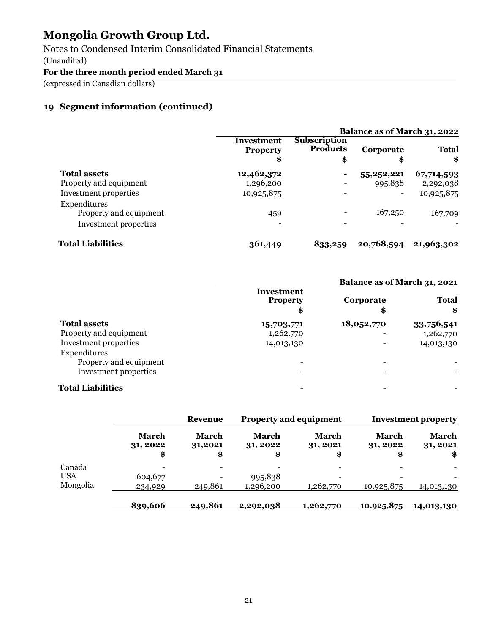Notes to Condensed Interim Consolidated Financial Statements

(Unaudited)

**For the three month period ended March 31** 

(expressed in Canadian dollars)

# **19 Segment information (continued)**

|                          |                                     | Balance as of March 31, 2022                 |                          |                    |
|--------------------------|-------------------------------------|----------------------------------------------|--------------------------|--------------------|
|                          | Investment<br><b>Property</b><br>\$ | <b>Subscription</b><br><b>Products</b><br>\$ | Corporate<br>\$          | <b>Total</b><br>\$ |
| <b>Total assets</b>      | 12,462,372                          | $\overline{\phantom{a}}$                     | 55,252,221               | 67,714,593         |
| Property and equipment   | 1,296,200                           |                                              | 995,838                  | 2,292,038          |
| Investment properties    | 10,925,875                          |                                              | $\overline{\phantom{0}}$ | 10,925,875         |
| Expenditures             |                                     |                                              |                          |                    |
| Property and equipment   | 459                                 |                                              | 167,250                  | 167,709            |
| Investment properties    |                                     |                                              |                          |                    |
| <b>Total Liabilities</b> | 361,449                             | 833,259                                      | 20,768,594               | 21,963,302         |

|                          |                                    | Balance as of March 31, 2021 |                    |  |
|--------------------------|------------------------------------|------------------------------|--------------------|--|
|                          | Investment<br><b>Property</b><br>8 | Corporate<br>\$              | <b>Total</b><br>\$ |  |
| <b>Total assets</b>      | 15,703,771                         | 18,052,770                   | 33,756,541         |  |
| Property and equipment   | 1,262,770                          |                              | 1,262,770          |  |
| Investment properties    | 14,013,130                         |                              | 14,013,130         |  |
| Expenditures             |                                    |                              |                    |  |
| Property and equipment   |                                    |                              |                    |  |
| Investment properties    |                                    |                              |                    |  |
| <b>Total Liabilities</b> |                                    |                              |                    |  |

|          |                                | <b>Revenue</b>         | <b>Property and equipment</b>  |                                | <b>Investment property</b> |                                |
|----------|--------------------------------|------------------------|--------------------------------|--------------------------------|----------------------------|--------------------------------|
|          | <b>March</b><br>31, 2022<br>\$ | March<br>31,2021<br>\$ | <b>March</b><br>31, 2022<br>\$ | <b>March</b><br>31, 2021<br>\$ | March<br>31, 2022<br>\$    | <b>March</b><br>31, 2021<br>\$ |
| Canada   |                                |                        |                                | $\overline{\phantom{a}}$       |                            |                                |
| USA      | 604,677                        |                        | 995,838                        |                                |                            |                                |
| Mongolia | 234,929                        | 249,861                | 1,296,200                      | 1,262,770                      | 10,925,875                 | 14,013,130                     |
|          | 839,606                        | 249,861                | 2,292,038                      | 1,262,770                      | 10,925,875                 | 14,013,130                     |